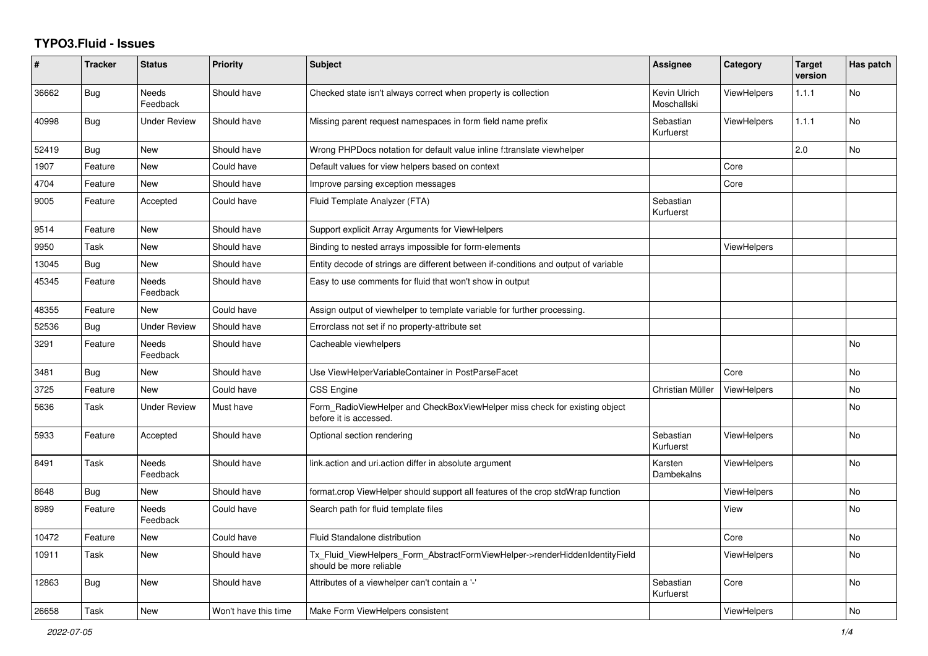## **TYPO3.Fluid - Issues**

| #     | <b>Tracker</b> | <b>Status</b>            | <b>Priority</b>      | <b>Subject</b>                                                                                         | Assignee                    | Category           | <b>Target</b><br>version | Has patch      |
|-------|----------------|--------------------------|----------------------|--------------------------------------------------------------------------------------------------------|-----------------------------|--------------------|--------------------------|----------------|
| 36662 | <b>Bug</b>     | Needs<br>Feedback        | Should have          | Checked state isn't always correct when property is collection                                         | Kevin Ulrich<br>Moschallski | <b>ViewHelpers</b> | 1.1.1                    | No             |
| 40998 | <b>Bug</b>     | Under Review             | Should have          | Missing parent request namespaces in form field name prefix                                            | Sebastian<br>Kurfuerst      | ViewHelpers        | 1.1.1                    | No             |
| 52419 | Bug            | New                      | Should have          | Wrong PHPDocs notation for default value inline f:translate viewhelper                                 |                             |                    | 2.0                      | No             |
| 1907  | Feature        | New                      | Could have           | Default values for view helpers based on context                                                       |                             | Core               |                          |                |
| 4704  | Feature        | New                      | Should have          | Improve parsing exception messages                                                                     |                             | Core               |                          |                |
| 9005  | Feature        | Accepted                 | Could have           | Fluid Template Analyzer (FTA)                                                                          | Sebastian<br>Kurfuerst      |                    |                          |                |
| 9514  | Feature        | <b>New</b>               | Should have          | Support explicit Array Arguments for ViewHelpers                                                       |                             |                    |                          |                |
| 9950  | Task           | <b>New</b>               | Should have          | Binding to nested arrays impossible for form-elements                                                  |                             | <b>ViewHelpers</b> |                          |                |
| 13045 | Bug            | <b>New</b>               | Should have          | Entity decode of strings are different between if-conditions and output of variable                    |                             |                    |                          |                |
| 45345 | Feature        | <b>Needs</b><br>Feedback | Should have          | Easy to use comments for fluid that won't show in output                                               |                             |                    |                          |                |
| 48355 | Feature        | New                      | Could have           | Assign output of viewhelper to template variable for further processing.                               |                             |                    |                          |                |
| 52536 | Bug            | <b>Under Review</b>      | Should have          | Errorclass not set if no property-attribute set                                                        |                             |                    |                          |                |
| 3291  | Feature        | Needs<br>Feedback        | Should have          | Cacheable viewhelpers                                                                                  |                             |                    |                          | No             |
| 3481  | Bug            | New                      | Should have          | Use ViewHelperVariableContainer in PostParseFacet                                                      |                             | Core               |                          | <b>No</b>      |
| 3725  | Feature        | <b>New</b>               | Could have           | <b>CSS Engine</b>                                                                                      | Christian Müller            | ViewHelpers        |                          | No             |
| 5636  | Task           | Under Review             | Must have            | Form RadioViewHelper and CheckBoxViewHelper miss check for existing object<br>before it is accessed.   |                             |                    |                          | No             |
| 5933  | Feature        | Accepted                 | Should have          | Optional section rendering                                                                             | Sebastian<br>Kurfuerst      | <b>ViewHelpers</b> |                          | No             |
| 8491  | Task           | Needs<br>Feedback        | Should have          | link.action and uri.action differ in absolute argument                                                 | Karsten<br>Dambekalns       | <b>ViewHelpers</b> |                          | No             |
| 8648  | Bug            | New                      | Should have          | format.crop ViewHelper should support all features of the crop stdWrap function                        |                             | <b>ViewHelpers</b> |                          | No             |
| 8989  | Feature        | Needs<br>Feedback        | Could have           | Search path for fluid template files                                                                   |                             | View               |                          | No             |
| 10472 | Feature        | New                      | Could have           | Fluid Standalone distribution                                                                          |                             | Core               |                          | No             |
| 10911 | Task           | New                      | Should have          | Tx_Fluid_ViewHelpers_Form_AbstractFormViewHelper->renderHiddenIdentityField<br>should be more reliable |                             | ViewHelpers        |                          | No             |
| 12863 | <b>Bug</b>     | <b>New</b>               | Should have          | Attributes of a viewhelper can't contain a '-'                                                         | Sebastian<br>Kurfuerst      | Core               |                          | N <sub>o</sub> |
| 26658 | Task           | New                      | Won't have this time | Make Form ViewHelpers consistent                                                                       |                             | ViewHelpers        |                          | No             |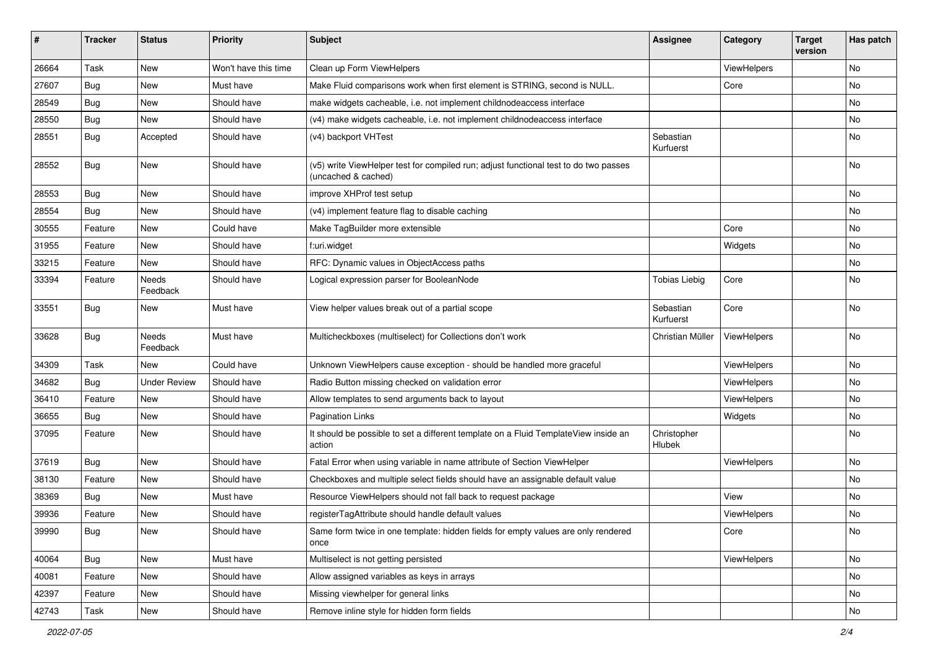| #     | <b>Tracker</b> | <b>Status</b>            | <b>Priority</b>      | <b>Subject</b>                                                                                              | Assignee               | Category    | <b>Target</b><br>version | Has patch |
|-------|----------------|--------------------------|----------------------|-------------------------------------------------------------------------------------------------------------|------------------------|-------------|--------------------------|-----------|
| 26664 | Task           | New                      | Won't have this time | Clean up Form ViewHelpers                                                                                   |                        | ViewHelpers |                          | <b>No</b> |
| 27607 | Bug            | New                      | Must have            | Make Fluid comparisons work when first element is STRING, second is NULL.                                   |                        | Core        |                          | No        |
| 28549 | Bug            | New                      | Should have          | make widgets cacheable, i.e. not implement childnodeaccess interface                                        |                        |             |                          | No        |
| 28550 | Bug            | New                      | Should have          | (v4) make widgets cacheable, i.e. not implement childnodeaccess interface                                   |                        |             |                          | No        |
| 28551 | Bug            | Accepted                 | Should have          | (v4) backport VHTest                                                                                        | Sebastian<br>Kurfuerst |             |                          | No        |
| 28552 | Bug            | New                      | Should have          | (v5) write ViewHelper test for compiled run; adjust functional test to do two passes<br>(uncached & cached) |                        |             |                          | <b>No</b> |
| 28553 | Bug            | New                      | Should have          | improve XHProf test setup                                                                                   |                        |             |                          | No        |
| 28554 | Bug            | New                      | Should have          | (v4) implement feature flag to disable caching                                                              |                        |             |                          | No        |
| 30555 | Feature        | New                      | Could have           | Make TagBuilder more extensible                                                                             |                        | Core        |                          | No        |
| 31955 | Feature        | <b>New</b>               | Should have          | f:uri.widget                                                                                                |                        | Widgets     |                          | No        |
| 33215 | Feature        | New                      | Should have          | RFC: Dynamic values in ObjectAccess paths                                                                   |                        |             |                          | No        |
| 33394 | Feature        | <b>Needs</b><br>Feedback | Should have          | Logical expression parser for BooleanNode                                                                   | <b>Tobias Liebig</b>   | Core        |                          | <b>No</b> |
| 33551 | Bug            | New                      | Must have            | View helper values break out of a partial scope                                                             | Sebastian<br>Kurfuerst | Core        |                          | <b>No</b> |
| 33628 | Bug            | Needs<br>Feedback        | Must have            | Multicheckboxes (multiselect) for Collections don't work                                                    | Christian Müller       | ViewHelpers |                          | <b>No</b> |
| 34309 | Task           | New                      | Could have           | Unknown ViewHelpers cause exception - should be handled more graceful                                       |                        | ViewHelpers |                          | <b>No</b> |
| 34682 | Bug            | <b>Under Review</b>      | Should have          | Radio Button missing checked on validation error                                                            |                        | ViewHelpers |                          | No        |
| 36410 | Feature        | <b>New</b>               | Should have          | Allow templates to send arguments back to layout                                                            |                        | ViewHelpers |                          | No        |
| 36655 | Bug            | New                      | Should have          | <b>Pagination Links</b>                                                                                     |                        | Widgets     |                          | No        |
| 37095 | Feature        | New                      | Should have          | It should be possible to set a different template on a Fluid TemplateView inside an<br>action               | Christopher<br>Hlubek  |             |                          | <b>No</b> |
| 37619 | Bug            | New                      | Should have          | Fatal Error when using variable in name attribute of Section ViewHelper                                     |                        | ViewHelpers |                          | No        |
| 38130 | Feature        | New                      | Should have          | Checkboxes and multiple select fields should have an assignable default value                               |                        |             |                          | No        |
| 38369 | Bug            | New                      | Must have            | Resource ViewHelpers should not fall back to request package                                                |                        | View        |                          | No        |
| 39936 | Feature        | New                      | Should have          | registerTagAttribute should handle default values                                                           |                        | ViewHelpers |                          | No        |
| 39990 | <b>Bug</b>     | New                      | Should have          | Same form twice in one template: hidden fields for empty values are only rendered<br>once                   |                        | Core        |                          | No        |
| 40064 | <b>Bug</b>     | New                      | Must have            | Multiselect is not getting persisted                                                                        |                        | ViewHelpers |                          | No        |
| 40081 | Feature        | New                      | Should have          | Allow assigned variables as keys in arrays                                                                  |                        |             |                          | No        |
| 42397 | Feature        | New                      | Should have          | Missing viewhelper for general links                                                                        |                        |             |                          | No        |
| 42743 | Task           | New                      | Should have          | Remove inline style for hidden form fields                                                                  |                        |             |                          | No        |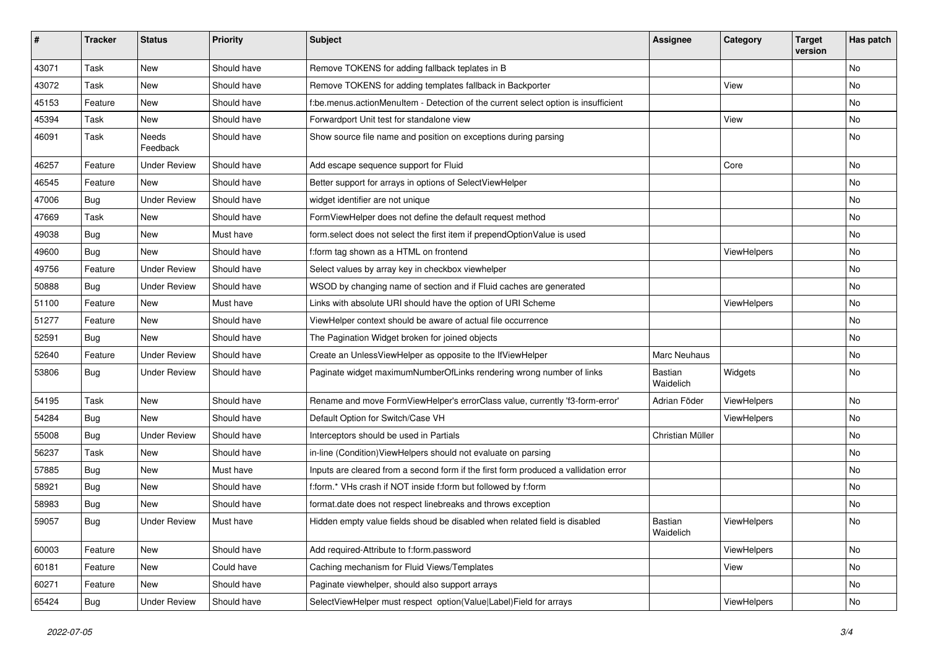| #     | <b>Tracker</b> | <b>Status</b>       | <b>Priority</b> | Subject                                                                              | <b>Assignee</b>      | Category    | <b>Target</b><br>version | Has patch |
|-------|----------------|---------------------|-----------------|--------------------------------------------------------------------------------------|----------------------|-------------|--------------------------|-----------|
| 43071 | Task           | New                 | Should have     | Remove TOKENS for adding fallback teplates in B                                      |                      |             |                          | <b>No</b> |
| 43072 | Task           | New                 | Should have     | Remove TOKENS for adding templates fallback in Backporter                            |                      | View        |                          | No        |
| 45153 | Feature        | New                 | Should have     | f:be.menus.actionMenuItem - Detection of the current select option is insufficient   |                      |             |                          | No        |
| 45394 | Task           | New                 | Should have     | Forwardport Unit test for standalone view                                            |                      | View        |                          | No        |
| 46091 | Task           | Needs<br>Feedback   | Should have     | Show source file name and position on exceptions during parsing                      |                      |             |                          | No        |
| 46257 | Feature        | <b>Under Review</b> | Should have     | Add escape sequence support for Fluid                                                |                      | Core        |                          | No        |
| 46545 | Feature        | New                 | Should have     | Better support for arrays in options of SelectViewHelper                             |                      |             |                          | No        |
| 47006 | Bug            | <b>Under Review</b> | Should have     | widget identifier are not unique                                                     |                      |             |                          | No        |
| 47669 | Task           | New                 | Should have     | FormViewHelper does not define the default request method                            |                      |             |                          | No        |
| 49038 | Bug            | New                 | Must have       | form.select does not select the first item if prependOptionValue is used             |                      |             |                          | <b>No</b> |
| 49600 | Bug            | <b>New</b>          | Should have     | f:form tag shown as a HTML on frontend                                               |                      | ViewHelpers |                          | No        |
| 49756 | Feature        | <b>Under Review</b> | Should have     | Select values by array key in checkbox viewhelper                                    |                      |             |                          | No        |
| 50888 | Bug            | <b>Under Review</b> | Should have     | WSOD by changing name of section and if Fluid caches are generated                   |                      |             |                          | No        |
| 51100 | Feature        | New                 | Must have       | Links with absolute URI should have the option of URI Scheme                         |                      | ViewHelpers |                          | No        |
| 51277 | Feature        | New                 | Should have     | ViewHelper context should be aware of actual file occurrence                         |                      |             |                          | No        |
| 52591 | Bug            | <b>New</b>          | Should have     | The Pagination Widget broken for joined objects                                      |                      |             |                          | No        |
| 52640 | Feature        | <b>Under Review</b> | Should have     | Create an UnlessViewHelper as opposite to the IfViewHelper                           | Marc Neuhaus         |             |                          | No        |
| 53806 | Bug            | <b>Under Review</b> | Should have     | Paginate widget maximumNumberOfLinks rendering wrong number of links                 | Bastian<br>Waidelich | Widgets     |                          | No        |
| 54195 | Task           | <b>New</b>          | Should have     | Rename and move FormViewHelper's errorClass value, currently 'f3-form-error'         | Adrian Föder         | ViewHelpers |                          | No        |
| 54284 | Bug            | New                 | Should have     | Default Option for Switch/Case VH                                                    |                      | ViewHelpers |                          | No        |
| 55008 | <b>Bug</b>     | <b>Under Review</b> | Should have     | Interceptors should be used in Partials                                              | Christian Müller     |             |                          | No        |
| 56237 | Task           | New                 | Should have     | in-line (Condition) View Helpers should not evaluate on parsing                      |                      |             |                          | No        |
| 57885 | Bug            | New                 | Must have       | Inputs are cleared from a second form if the first form produced a vallidation error |                      |             |                          | No        |
| 58921 | Bug            | New                 | Should have     | f:form.* VHs crash if NOT inside f:form but followed by f:form                       |                      |             |                          | <b>No</b> |
| 58983 | <b>Bug</b>     | New                 | Should have     | format.date does not respect linebreaks and throws exception                         |                      |             |                          | No        |
| 59057 | Bug            | <b>Under Review</b> | Must have       | Hidden empty value fields shoud be disabled when related field is disabled           | Bastian<br>Waidelich | ViewHelpers |                          | No        |
| 60003 | Feature        | New                 | Should have     | Add required-Attribute to f:form.password                                            |                      | ViewHelpers |                          | No        |
| 60181 | Feature        | New                 | Could have      | Caching mechanism for Fluid Views/Templates                                          |                      | View        |                          | No        |
| 60271 | Feature        | New                 | Should have     | Paginate viewhelper, should also support arrays                                      |                      |             |                          | No        |
| 65424 | <b>Bug</b>     | <b>Under Review</b> | Should have     | SelectViewHelper must respect option(Value Label)Field for arrays                    |                      | ViewHelpers |                          | No        |